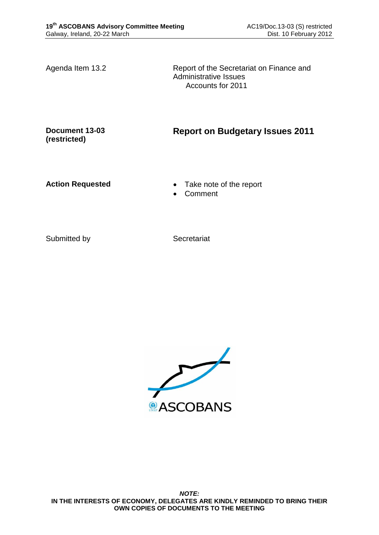Agenda Item 13.2 Report of the Secretariat on Finance and Administrative Issues Accounts for 2011

**Document 13-03 (restricted)**

**Report on Budgetary Issues 2011**

- **Action Requested Take note of the report** 
	- Comment

Submitted by Secretariat

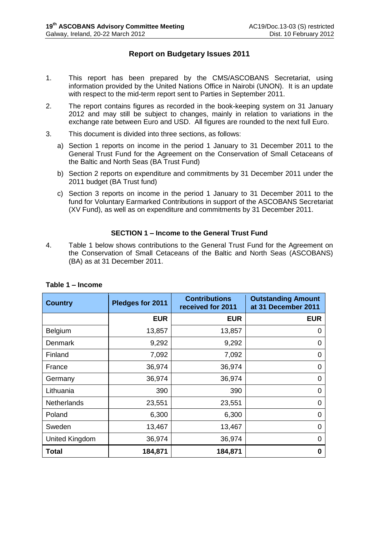# **Report on Budgetary Issues 2011**

- 1. This report has been prepared by the CMS/ASCOBANS Secretariat, using information provided by the United Nations Office in Nairobi (UNON). It is an update with respect to the mid-term report sent to Parties in September 2011.
- 2. The report contains figures as recorded in the book-keeping system on 31 January 2012 and may still be subject to changes, mainly in relation to variations in the exchange rate between Euro and USD. All figures are rounded to the next full Euro.
- 3. This document is divided into three sections, as follows:
	- a) Section 1 reports on income in the period 1 January to 31 December 2011 to the General Trust Fund for the Agreement on the Conservation of Small Cetaceans of the Baltic and North Seas (BA Trust Fund)
	- b) Section 2 reports on expenditure and commitments by 31 December 2011 under the 2011 budget (BA Trust fund)
	- c) Section 3 reports on income in the period 1 January to 31 December 2011 to the fund for Voluntary Earmarked Contributions in support of the ASCOBANS Secretariat (XV Fund), as well as on expenditure and commitments by 31 December 2011.

## **SECTION 1 – Income to the General Trust Fund**

4. Table 1 below shows contributions to the General Trust Fund for the Agreement on the Conservation of Small Cetaceans of the Baltic and North Seas (ASCOBANS) (BA) as at 31 December 2011.

| <b>Country</b>     | Pledges for 2011 | <b>Contributions</b><br>received for 2011 | <b>Outstanding Amount</b><br>at 31 December 2011 |  |
|--------------------|------------------|-------------------------------------------|--------------------------------------------------|--|
|                    | <b>EUR</b>       | <b>EUR</b>                                | <b>EUR</b>                                       |  |
| Belgium            | 13,857           | 13,857                                    | O                                                |  |
| Denmark            | 9,292            | 9,292                                     | 0                                                |  |
| Finland            | 7,092            | 7,092                                     | 0                                                |  |
| France             | 36,974           | 36,974                                    | 0                                                |  |
| Germany            | 36,974           | 36,974                                    | 0                                                |  |
| Lithuania          | 390              | 390                                       | 0                                                |  |
| <b>Netherlands</b> | 23,551           | 23,551                                    | 0                                                |  |
| Poland             | 6,300            | 6,300                                     | 0                                                |  |
| Sweden             | 13,467           | 13,467                                    | 0                                                |  |
| United Kingdom     | 36,974           | 36,974                                    | 0                                                |  |
| <b>Total</b>       | 184,871          | 184,871                                   | O                                                |  |

## **Table 1 – Income**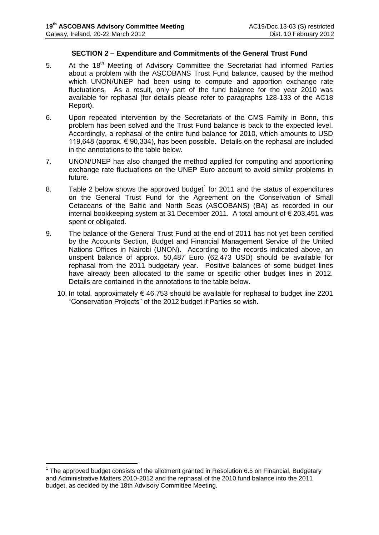### **SECTION 2 – Expenditure and Commitments of the General Trust Fund**

- 5. At the 18<sup>th</sup> Meeting of Advisory Committee the Secretariat had informed Parties about a problem with the ASCOBANS Trust Fund balance, caused by the method which UNON/UNEP had been using to compute and apportion exchange rate fluctuations. As a result, only part of the fund balance for the year 2010 was available for rephasal (for details please refer to paragraphs 128-133 of the AC18 Report).
- 6. Upon repeated intervention by the Secretariats of the CMS Family in Bonn, this problem has been solved and the Trust Fund balance is back to the expected level. Accordingly, a rephasal of the entire fund balance for 2010, which amounts to USD 119,648 (approx. € 90,334), has been possible. Details on the rephasal are included in the annotations to the table below.
- 7. UNON/UNEP has also changed the method applied for computing and apportioning exchange rate fluctuations on the UNEP Euro account to avoid similar problems in future.
- 8. Table 2 below shows the approved budget<sup>1</sup> for 2011 and the status of expenditures on the General Trust Fund for the Agreement on the Conservation of Small Cetaceans of the Baltic and North Seas (ASCOBANS) (BA) as recorded in our internal bookkeeping system at 31 December 2011. A total amount of € 203,451 was spent or obligated.
- 9. The balance of the General Trust Fund at the end of 2011 has not yet been certified by the Accounts Section, Budget and Financial Management Service of the United Nations Offices in Nairobi (UNON). According to the records indicated above, an unspent balance of approx. 50,487 Euro (62,473 USD) should be available for rephasal from the 2011 budgetary year. Positive balances of some budget lines have already been allocated to the same or specific other budget lines in 2012. Details are contained in the annotations to the table below.
	- 10. In total, approximately € 46,753 should be available for rephasal to budget line 2201 "Conservation Projects" of the 2012 budget if Parties so wish.

1

 $1$  The approved budget consists of the allotment granted in Resolution 6.5 on Financial, Budgetary and Administrative Matters 2010-2012 and the rephasal of the 2010 fund balance into the 2011 budget, as decided by the 18th Advisory Committee Meeting.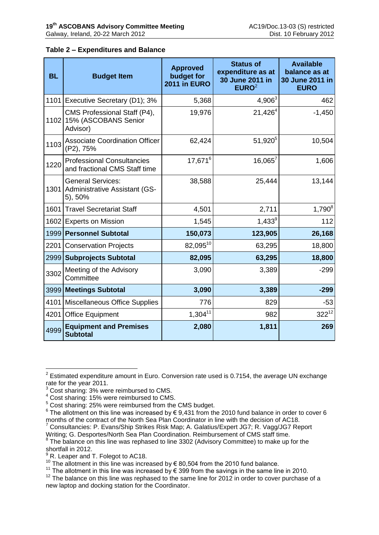### **Table 2 – Expenditures and Balance**

| <b>BL</b> | <b>Budget Item</b>                                                        | <b>Approved</b><br>budget for<br>2011 in EURO | <b>Status of</b><br>expenditure as at<br>30 June 2011 in<br>EURO <sup>2</sup> | <b>Available</b><br>balance as at<br>30 June 2011 in<br><b>EURO</b> |
|-----------|---------------------------------------------------------------------------|-----------------------------------------------|-------------------------------------------------------------------------------|---------------------------------------------------------------------|
|           | 1101 Executive Secretary (D1); 3%                                         | 5,368                                         | $4,906^3$                                                                     | 462                                                                 |
|           | CMS Professional Staff (P4),<br>1102 15% (ASCOBANS Senior<br>Advisor)     | 19,976                                        | $21,426^4$                                                                    | $-1,450$                                                            |
| 1103      | <b>Associate Coordination Officer</b><br>(P2), 75%                        | 62,424                                        | $51,920^5$                                                                    | 10,504                                                              |
| 1220      | <b>Professional Consultancies</b><br>and fractional CMS Staff time        | $17,671^6$                                    | $16,065^7$                                                                    | 1,606                                                               |
|           | <b>General Services:</b><br>1301 Administrative Assistant (GS-<br>5), 50% | 38,588                                        | 25,444                                                                        | 13,144                                                              |
|           | 1601 Travel Secretariat Staff                                             | 4,501                                         | 2,711                                                                         | $1,790^{8}$                                                         |
| 1602      | <b>Experts on Mission</b>                                                 | 1,545                                         | $1,433^9$                                                                     | 112                                                                 |
| 1999      | <b>Personnel Subtotal</b>                                                 | 150,073                                       | 123,905                                                                       | 26,168                                                              |
| 2201      | <b>Conservation Projects</b>                                              | 82,09510                                      | 63,295                                                                        | 18,800                                                              |
| 2999      | <b>Subprojects Subtotal</b>                                               | 82,095                                        | 63,295                                                                        | 18,800                                                              |
| 3302      | Meeting of the Advisory<br>Committee                                      | 3,090                                         | 3,389                                                                         | $-299$                                                              |
|           | 3999 Meetings Subtotal                                                    | 3,090                                         | 3,389                                                                         | $-299$                                                              |
| 4101      | Miscellaneous Office Supplies                                             | 776                                           | 829                                                                           | $-53$                                                               |
| 4201      | <b>Office Equipment</b>                                                   | $1,304^{11}$                                  | 982                                                                           | $322^{12}$                                                          |
| 4999      | <b>Equipment and Premises</b><br><b>Subtotal</b>                          | 2,080                                         | 1,811                                                                         | 269                                                                 |

 2 Estimated expenditure amount in Euro. Conversion rate used is 0.7154, the average UN exchange rate for the year 2011.

<sup>&</sup>lt;sup>3</sup> Cost sharing: 3% were reimbursed to CMS.

<sup>4</sup> Cost sharing: 15% were reimbursed to CMS.

<sup>5</sup> Cost sharing: 25% were reimbursed from the CMS budget.

 $^6$  The allotment on this line was increased by  $\epsilon$  9,431 from the 2010 fund balance in order to cover 6 months of the contract of the North Sea Plan Coordinator in line with the decision of AC18.

<sup>7</sup> Consultancies: P. Evans/Ship Strikes Risk Map; A. Galatius/Expert JG7; R. Vagg/JG7 Report Writing; G. Desportes/North Sea Plan Coordination. Reimbursement of CMS staff time.

<sup>&</sup>lt;sup>8</sup> The balance on this line was rephased to line 3302 (Advisory Committee) to make up for the shortfall in 2012.

 $<sup>9</sup>$  R. Leaper and T. Folegot to AC18.</sup>

<sup>10.</sup> Leaper and 1.1 biogot is  $10 \times 10^{-10}$ .<br><sup>10</sup> The allotment in this line was increased by  $\epsilon$  80,504 from the 2010 fund balance.

<sup>&</sup>lt;sup>11</sup> The allotment in this line was increased by € 399 from the savings in the same line in 2010.

<sup>&</sup>lt;sup>12</sup> The balance on this line was rephased to the same line for 2012 in order to cover purchase of a new laptop and docking station for the Coordinator.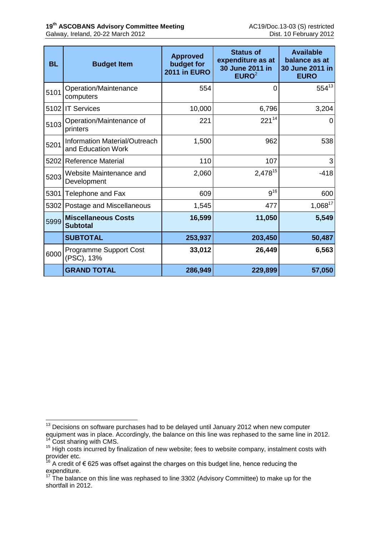| <b>BL</b> | <b>Budget Item</b>                                         | <b>Approved</b><br>budget for<br>2011 in EURO | <b>Status of</b><br>expenditure as at<br>30 June 2011 in<br>EURO <sup>2</sup> | <b>Available</b><br>balance as at<br>30 June 2011 in<br><b>EURO</b> |
|-----------|------------------------------------------------------------|-----------------------------------------------|-------------------------------------------------------------------------------|---------------------------------------------------------------------|
| 5101      | Operation/Maintenance<br>computers                         | 554                                           | 0                                                                             | $554^{13}$                                                          |
| 5102      | <b>IT Services</b>                                         | 10,000                                        | 6,796                                                                         | 3,204                                                               |
| 5103      | Operation/Maintenance of<br>printers                       | 221                                           | $221^{14}$                                                                    | 0                                                                   |
| 5201      | <b>Information Material/Outreach</b><br>and Education Work | 1,500                                         | 962                                                                           | 538                                                                 |
| 5202      | <b>Reference Material</b>                                  | 110                                           | 107                                                                           | 3                                                                   |
| 5203      | Website Maintenance and<br>Development                     | 2,060                                         | 2,478 <sup>15</sup>                                                           | $-418$                                                              |
| 5301      | Telephone and Fax                                          | 609                                           | $9^{16}$                                                                      | 600                                                                 |
| 5302      | Postage and Miscellaneous                                  | 1,545                                         | 477                                                                           | $1,068^{17}$                                                        |
| 5999      | <b>Miscellaneous Costs</b><br><b>Subtotal</b>              | 16,599                                        | 11,050                                                                        | 5,549                                                               |
|           | <b>SUBTOTAL</b>                                            | 253,937                                       | 203,450                                                                       | 50,487                                                              |
| 6000      | <b>Programme Support Cost</b><br>(PSC), 13%                | 33,012                                        | 26,449                                                                        | 6,563                                                               |
|           | <b>GRAND TOTAL</b>                                         | 286,949                                       | 229,899                                                                       | 57,050                                                              |

<u>.</u>

<sup>&</sup>lt;sup>13</sup> Decisions on software purchases had to be delayed until January 2012 when new computer equipment was in place. Accordingly, the balance on this line was rephased to the same line in 2012.

<sup>&</sup>lt;sup>14</sup> Cost sharing with CMS.

<sup>&</sup>lt;sup>15</sup> High costs incurred by finalization of new website; fees to website company, instalment costs with provider etc.

A credit of € 625 was offset against the charges on this budget line, hence reducing the expenditure.

 $17$  The balance on this line was rephased to line 3302 (Advisory Committee) to make up for the shortfall in 2012.